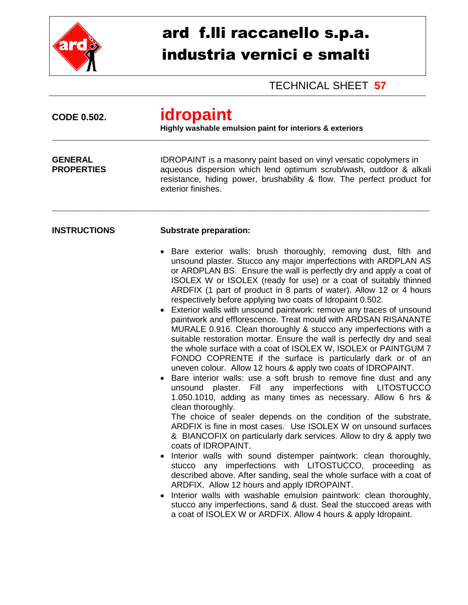

## ard f.lli raccanello s.p.a. industria vernici e smalti

TECHNICAL SHEET **57**

| <b>CODE 0.502.</b>                  | idropaint<br>Highly washable emulsion paint for interiors & exteriors                                                                                                                                                                                                                                                                                                                                                                                                                                                                                                                                                                                                                                                                                                                                                                                                                                                                                                                                                                                                                                                                                                                                                                                                                                                                                                                                                                                                                                                                                                                                                                                                                                                                                                                                                                                      |  |  |
|-------------------------------------|------------------------------------------------------------------------------------------------------------------------------------------------------------------------------------------------------------------------------------------------------------------------------------------------------------------------------------------------------------------------------------------------------------------------------------------------------------------------------------------------------------------------------------------------------------------------------------------------------------------------------------------------------------------------------------------------------------------------------------------------------------------------------------------------------------------------------------------------------------------------------------------------------------------------------------------------------------------------------------------------------------------------------------------------------------------------------------------------------------------------------------------------------------------------------------------------------------------------------------------------------------------------------------------------------------------------------------------------------------------------------------------------------------------------------------------------------------------------------------------------------------------------------------------------------------------------------------------------------------------------------------------------------------------------------------------------------------------------------------------------------------------------------------------------------------------------------------------------------------|--|--|
| <b>GENERAL</b><br><b>PROPERTIES</b> | IDROPAINT is a masonry paint based on vinyl versatic copolymers in<br>aqueous dispersion which lend optimum scrub/wash, outdoor & alkali<br>resistance, hiding power, brushability & flow. The perfect product for<br>exterior finishes.                                                                                                                                                                                                                                                                                                                                                                                                                                                                                                                                                                                                                                                                                                                                                                                                                                                                                                                                                                                                                                                                                                                                                                                                                                                                                                                                                                                                                                                                                                                                                                                                                   |  |  |
| <b>INSTRUCTIONS</b>                 | <b>Substrate preparation:</b>                                                                                                                                                                                                                                                                                                                                                                                                                                                                                                                                                                                                                                                                                                                                                                                                                                                                                                                                                                                                                                                                                                                                                                                                                                                                                                                                                                                                                                                                                                                                                                                                                                                                                                                                                                                                                              |  |  |
|                                     | Bare exterior walls: brush thoroughly, removing dust, filth and<br>unsound plaster. Stucco any major imperfections with ARDPLAN AS<br>or ARDPLAN BS. Ensure the wall is perfectly dry and apply a coat of<br>ISOLEX W or ISOLEX (ready for use) or a coat of suitably thinned<br>ARDFIX (1 part of product in 8 parts of water). Allow 12 or 4 hours<br>respectively before applying two coats of Idropaint 0.502.<br>Exterior walls with unsound paintwork: remove any traces of unsound<br>paintwork and efflorescence. Treat mould with ARDSAN RISANANTE<br>MURALE 0.916. Clean thoroughly & stucco any imperfections with a<br>suitable restoration mortar. Ensure the wall is perfectly dry and seal<br>the whole surface with a coat of ISOLEX W, ISOLEX or PAINTGUM 7<br>FONDO COPRENTE if the surface is particularly dark or of an<br>uneven colour. Allow 12 hours & apply two coats of IDROPAINT.<br>Bare interior walls: use a soft brush to remove fine dust and any<br>imperfections with<br><b>LITOSTUCCO</b><br>plaster. Fill any<br>unsound<br>1.050.1010, adding as many times as necessary. Allow 6 hrs &<br>clean thoroughly.<br>The choice of sealer depends on the condition of the substrate,<br>ARDFIX is fine in most cases. Use ISOLEX W on unsound surfaces<br>& BIANCOFIX on particularly dark services. Allow to dry & apply two<br>coats of IDROPAINT.<br>Interior walls with sound distemper paintwork: clean thoroughly,<br>stucco any imperfections with LITOSTUCCO, proceeding as<br>described above. After sanding, seal the whole surface with a coat of<br>ARDFIX. Allow 12 hours and apply IDROPAINT.<br>Interior walls with washable emulsion paintwork: clean thoroughly,<br>stucco any imperfections, sand & dust. Seal the stuccoed areas with<br>a coat of ISOLEX W or ARDFIX. Allow 4 hours & apply Idropaint. |  |  |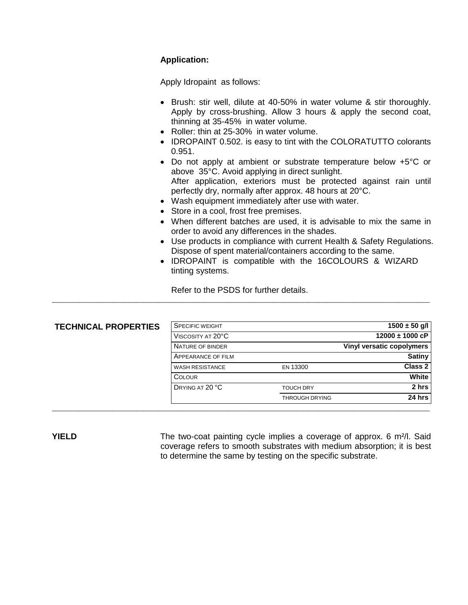## **Application:**

Apply Idropaint as follows:

- Brush: stir well, dilute at 40-50% in water volume & stir thoroughly. Apply by cross-brushing. Allow 3 hours & apply the second coat, thinning at 35-45% in water volume.
- Roller: thin at 25-30% in water volume.
- IDROPAINT 0.502. is easy to tint with the COLORATUTTO colorants 0.951.
- Do not apply at ambient or substrate temperature below +5°C or above 35°C. Avoid applying in direct sunlight. After application, exteriors must be protected against rain until perfectly dry, normally after approx. 48 hours at 20°C.
- Wash equipment immediately after use with water.
- Store in a cool, frost free premises.
- When different batches are used, it is advisable to mix the same in order to avoid any differences in the shades.
- Use products in compliance with current Health & Safety Regulations. Dispose of spent material/containers according to the same.
- IDROPAINT is compatible with the 16COLOURS & WIZARD tinting systems.

Refer to the PSDS for further details. \_\_\_\_\_\_\_\_\_\_\_\_\_\_\_\_\_\_\_\_\_\_\_\_\_\_\_\_\_\_\_\_\_\_\_\_\_\_\_\_\_\_\_\_\_\_\_\_\_\_\_\_\_\_\_\_\_\_\_\_\_\_\_\_\_\_\_\_\_\_\_\_\_\_\_\_\_\_\_\_\_\_\_\_\_\_\_\_\_\_\_\_\_\_\_\_\_\_\_

| $1500 \pm 50$ g/l         |                       | <b>SPECIFIC WEIGHT</b> | <b>TECHNICAL PROPERTIES</b> |
|---------------------------|-----------------------|------------------------|-----------------------------|
| $12000 \pm 1000$ cP       |                       | VISCOSITY AT 20°C      |                             |
| Vinyl versatic copolymers |                       | NATURE OF BINDER       |                             |
| <b>Satiny</b>             |                       | APPEARANCE OF FILM     |                             |
| <b>Class 2</b>            | EN 13300              | <b>WASH RESISTANCE</b> |                             |
| White                     |                       | <b>COLOUR</b>          |                             |
| 2 hrs                     | <b>TOUCH DRY</b>      | DRYING AT 20 °C        |                             |
| 24 hrs                    | <b>THROUGH DRYING</b> |                        |                             |

**YIELD** The two-coat painting cycle implies a coverage of approx. 6 m<sup>2</sup>/l. Said coverage refers to smooth substrates with medium absorption; it is best to determine the same by testing on the specific substrate.